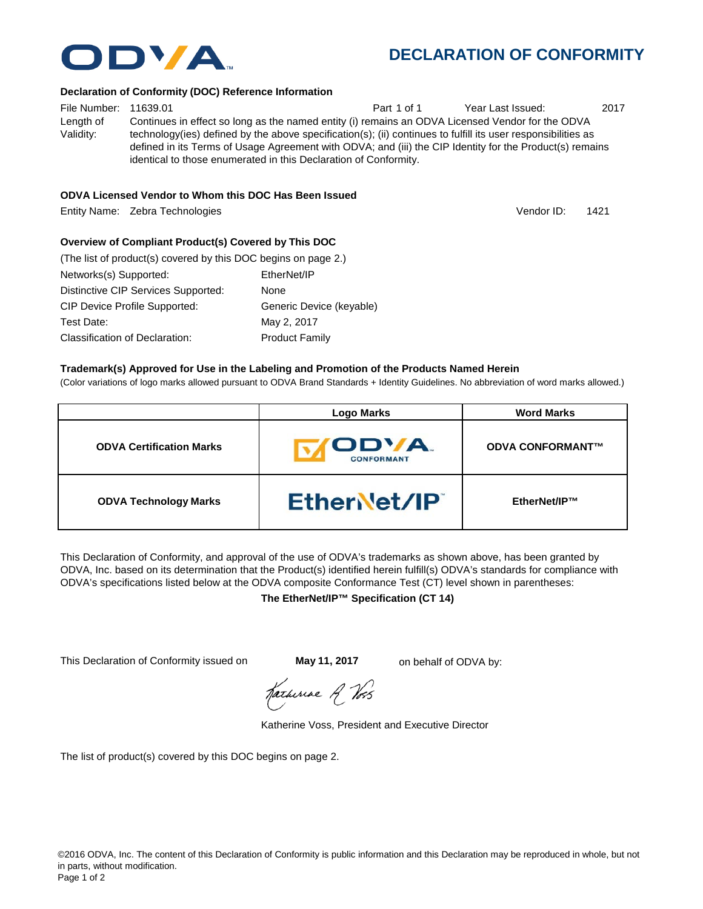

# **DECLARATION OF CONFORMITY**

#### **Declaration of Conformity (DOC) Reference Information**

File Number: 11639.01 **Part 1 of 1** Year Last Issued: 2017 Length of Validity: Continues in effect so long as the named entity (i) remains an ODVA Licensed Vendor for the ODVA technology(ies) defined by the above specification(s); (ii) continues to fulfill its user responsibilities as defined in its Terms of Usage Agreement with ODVA; and (iii) the CIP Identity for the Product(s) remains identical to those enumerated in this Declaration of Conformity.

#### **ODVA Licensed Vendor to Whom this DOC Has Been Issued**

Entity Name: Zebra Technologies 1421

Vendor ID:

# **Overview of Compliant Product(s) Covered by This DOC**

| (The list of product(s) covered by this DOC begins on page 2.) |                          |
|----------------------------------------------------------------|--------------------------|
| Networks(s) Supported:                                         | EtherNet/IP              |
| Distinctive CIP Services Supported:                            | None                     |
| <b>CIP Device Profile Supported:</b>                           | Generic Device (keyable) |
| Test Date:                                                     | May 2, 2017              |
| Classification of Declaration:                                 | <b>Product Family</b>    |

#### **Trademark(s) Approved for Use in the Labeling and Promotion of the Products Named Herein**

(Color variations of logo marks allowed pursuant to ODVA Brand Standards + Identity Guidelines. No abbreviation of word marks allowed.)

|                                 | <b>Logo Marks</b>          | <b>Word Marks</b>       |
|---------------------------------|----------------------------|-------------------------|
| <b>ODVA Certification Marks</b> | ODVA.<br><b>CONFORMANT</b> | <b>ODVA CONFORMANT™</b> |
| <b>ODVA Technology Marks</b>    | EtherNet/IP                | EtherNet/IP™            |

This Declaration of Conformity, and approval of the use of ODVA's trademarks as shown above, has been granted by ODVA, Inc. based on its determination that the Product(s) identified herein fulfill(s) ODVA's standards for compliance with ODVA's specifications listed below at the ODVA composite Conformance Test (CT) level shown in parentheses:

#### **The EtherNet/IP™ Specification (CT 14)**

This Declaration of Conformity issued on **May 11, 2017** on behalf of ODVA by:

Karhiriae A Vos

Katherine Voss, President and Executive Director

The list of product(s) covered by this DOC begins on page 2.